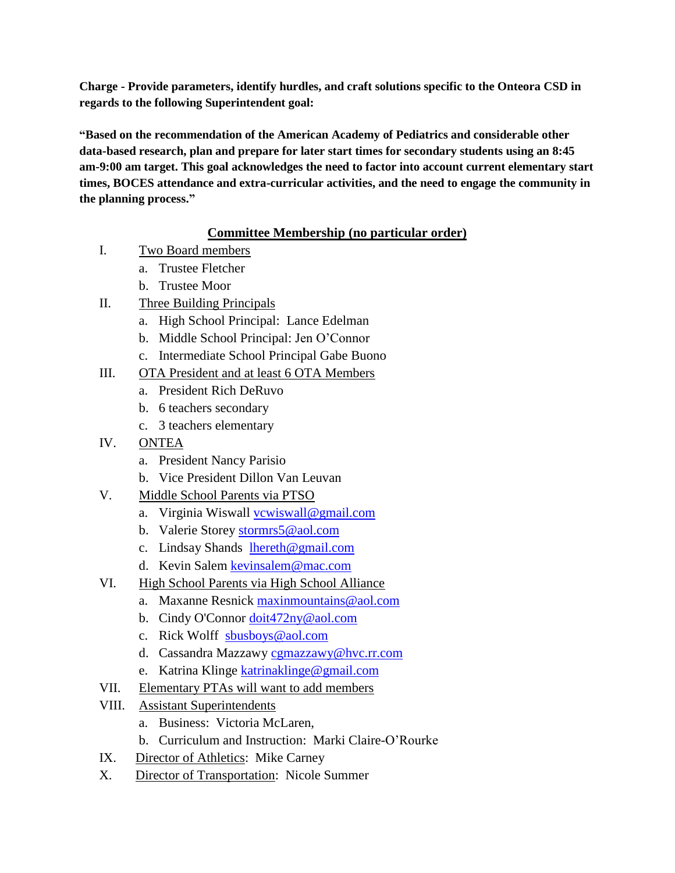**Charge - Provide parameters, identify hurdles, and craft solutions specific to the Onteora CSD in regards to the following Superintendent goal:** 

**"Based on the recommendation of the American Academy of Pediatrics and considerable other data-based research, plan and prepare for later start times for secondary students using an 8:45 am-9:00 am target. This goal acknowledges the need to factor into account current elementary start times, BOCES attendance and extra-curricular activities, and the need to engage the community in the planning process."**

# **Committee Membership (no particular order)**

- I. Two Board members
	- a. Trustee Fletcher
	- b. Trustee Moor
- II. Three Building Principals
	- a. High School Principal: Lance Edelman
	- b. Middle School Principal: Jen O'Connor
	- c. Intermediate School Principal Gabe Buono
- III. OTA President and at least 6 OTA Members
	- a. President Rich DeRuvo
	- b. 6 teachers secondary
	- c. 3 teachers elementary
- IV. ONTEA
	- a. President Nancy Parisio
	- b. Vice President Dillon Van Leuvan
- V. Middle School Parents via PTSO
	- a. Virginia Wiswall [vcwiswall@gmail.com](mailto:vcwiswall@gmail.com)
	- b. Valerie Storey [stormrs5@aol.com](mailto:stormrs5@aol.com)
	- c. Lindsay Shands [lhereth@gmail.com](mailto:lhereth@gmail.com)
	- d. Kevin Salem [kevinsalem@mac.com](mailto:kevinsalem@mac.com)
- VI. High School Parents via High School Alliance
	- a. Maxanne Resnick [maxinmountains@aol.com](mailto:maxinmountains@aol.com)
	- b. Cindy O'Connor [doit472ny@aol.com](mailto:doit472ny@aol.com)
	- c. Rick Wolff [sbusboys@aol.com](mailto:sbusboys@aol.com)
	- d. Cassandra Mazzawy [cgmazzawy@hvc.rr.com](mailto:cgmazzawy@hvc.rr.com)
	- e. Katrina Klinge [katrinaklinge@gmail.com](mailto:katrinaklinge@gmail.com)
- VII. Elementary PTAs will want to add members
- VIII. Assistant Superintendents
	- a. Business: Victoria McLaren,
	- b. Curriculum and Instruction: Marki Claire-O'Rourke
- IX. Director of Athletics: Mike Carney
- X. Director of Transportation: Nicole Summer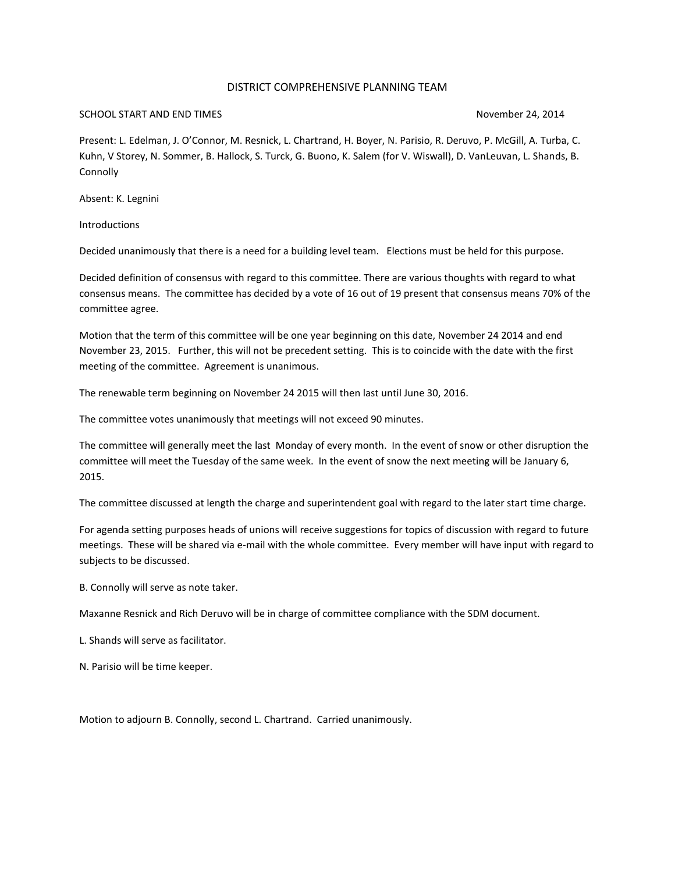### DISTRICT COMPREHENSIVE PLANNING TEAM

### SCHOOL START AND END TIMES **November 24, 2014**

Present: L. Edelman, J. O'Connor, M. Resnick, L. Chartrand, H. Boyer, N. Parisio, R. Deruvo, P. McGill, A. Turba, C. Kuhn, V Storey, N. Sommer, B. Hallock, S. Turck, G. Buono, K. Salem (for V. Wiswall), D. VanLeuvan, L. Shands, B. **Connolly** 

Absent: K. Legnini

**Introductions** 

Decided unanimously that there is a need for a building level team. Elections must be held for this purpose.

Decided definition of consensus with regard to this committee. There are various thoughts with regard to what consensus means. The committee has decided by a vote of 16 out of 19 present that consensus means 70% of the committee agree.

Motion that the term of this committee will be one year beginning on this date, November 24 2014 and end November 23, 2015. Further, this will not be precedent setting. This is to coincide with the date with the first meeting of the committee. Agreement is unanimous.

The renewable term beginning on November 24 2015 will then last until June 30, 2016.

The committee votes unanimously that meetings will not exceed 90 minutes.

The committee will generally meet the last Monday of every month. In the event of snow or other disruption the committee will meet the Tuesday of the same week. In the event of snow the next meeting will be January 6, 2015.

The committee discussed at length the charge and superintendent goal with regard to the later start time charge.

For agenda setting purposes heads of unions will receive suggestions for topics of discussion with regard to future meetings. These will be shared via e-mail with the whole committee. Every member will have input with regard to subjects to be discussed.

B. Connolly will serve as note taker.

Maxanne Resnick and Rich Deruvo will be in charge of committee compliance with the SDM document.

L. Shands will serve as facilitator.

N. Parisio will be time keeper.

Motion to adjourn B. Connolly, second L. Chartrand. Carried unanimously.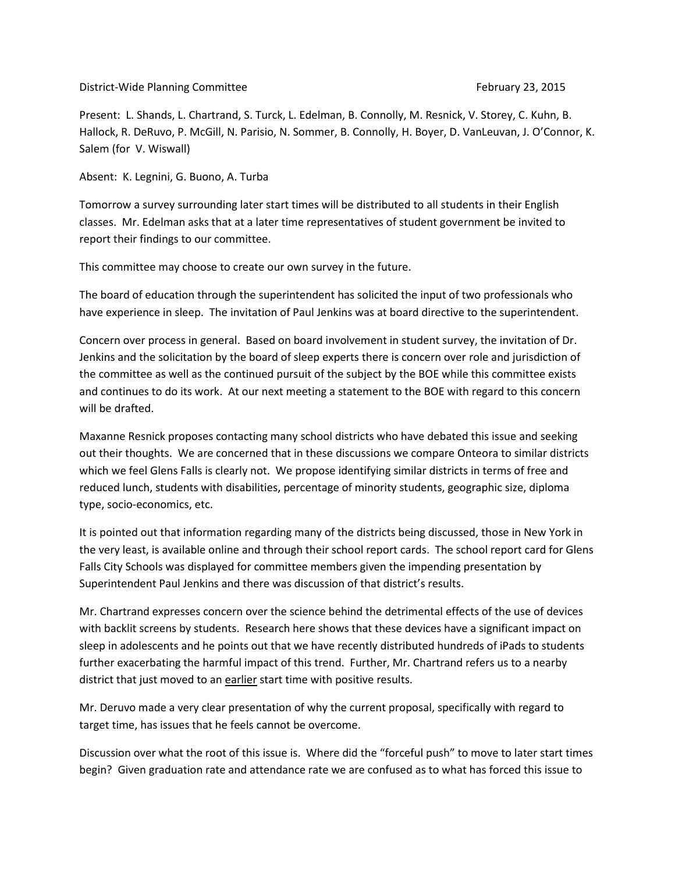District-Wide Planning Committee **February 23, 2015** February 23, 2015

Present: L. Shands, L. Chartrand, S. Turck, L. Edelman, B. Connolly, M. Resnick, V. Storey, C. Kuhn, B. Hallock, R. DeRuvo, P. McGill, N. Parisio, N. Sommer, B. Connolly, H. Boyer, D. VanLeuvan, J. O'Connor, K. Salem (for V. Wiswall)

Absent: K. Legnini, G. Buono, A. Turba

Tomorrow a survey surrounding later start times will be distributed to all students in their English classes. Mr. Edelman asks that at a later time representatives of student government be invited to report their findings to our committee.

This committee may choose to create our own survey in the future.

The board of education through the superintendent has solicited the input of two professionals who have experience in sleep. The invitation of Paul Jenkins was at board directive to the superintendent.

Concern over process in general. Based on board involvement in student survey, the invitation of Dr. Jenkins and the solicitation by the board of sleep experts there is concern over role and jurisdiction of the committee as well as the continued pursuit of the subject by the BOE while this committee exists and continues to do its work. At our next meeting a statement to the BOE with regard to this concern will be drafted.

Maxanne Resnick proposes contacting many school districts who have debated this issue and seeking out their thoughts. We are concerned that in these discussions we compare Onteora to similar districts which we feel Glens Falls is clearly not. We propose identifying similar districts in terms of free and reduced lunch, students with disabilities, percentage of minority students, geographic size, diploma type, socio-economics, etc.

It is pointed out that information regarding many of the districts being discussed, those in New York in the very least, is available online and through their school report cards. The school report card for Glens Falls City Schools was displayed for committee members given the impending presentation by Superintendent Paul Jenkins and there was discussion of that district's results.

Mr. Chartrand expresses concern over the science behind the detrimental effects of the use of devices with backlit screens by students. Research here shows that these devices have a significant impact on sleep in adolescents and he points out that we have recently distributed hundreds of iPads to students further exacerbating the harmful impact of this trend. Further, Mr. Chartrand refers us to a nearby district that just moved to an earlier start time with positive results.

Mr. Deruvo made a very clear presentation of why the current proposal, specifically with regard to target time, has issues that he feels cannot be overcome.

Discussion over what the root of this issue is. Where did the "forceful push" to move to later start times begin? Given graduation rate and attendance rate we are confused as to what has forced this issue to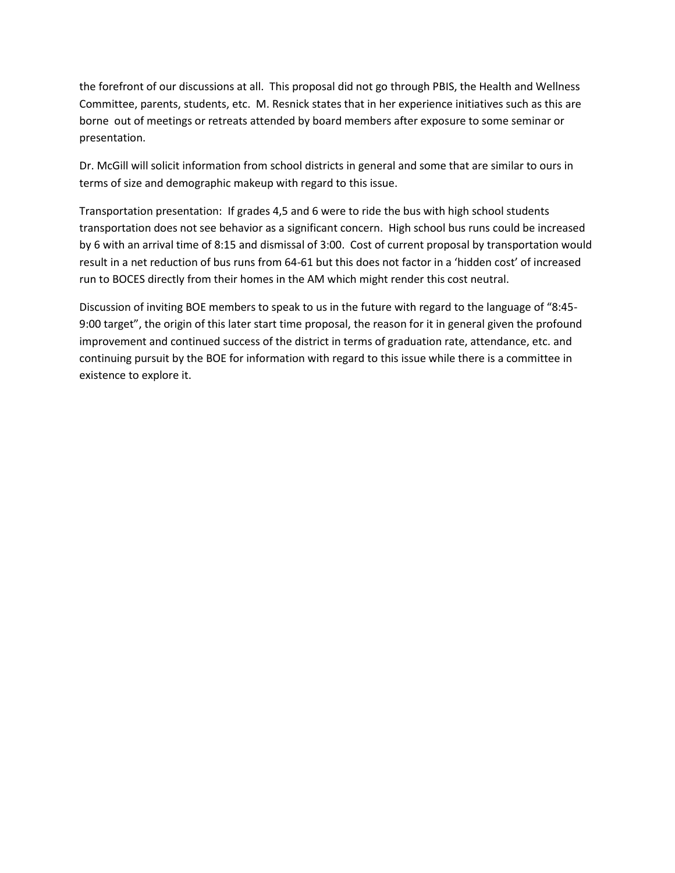the forefront of our discussions at all. This proposal did not go through PBIS, the Health and Wellness Committee, parents, students, etc. M. Resnick states that in her experience initiatives such as this are borne out of meetings or retreats attended by board members after exposure to some seminar or presentation.

Dr. McGill will solicit information from school districts in general and some that are similar to ours in terms of size and demographic makeup with regard to this issue.

Transportation presentation: If grades 4,5 and 6 were to ride the bus with high school students transportation does not see behavior as a significant concern. High school bus runs could be increased by 6 with an arrival time of 8:15 and dismissal of 3:00. Cost of current proposal by transportation would result in a net reduction of bus runs from 64-61 but this does not factor in a 'hidden cost' of increased run to BOCES directly from their homes in the AM which might render this cost neutral.

Discussion of inviting BOE members to speak to us in the future with regard to the language of "8:45- 9:00 target", the origin of this later start time proposal, the reason for it in general given the profound improvement and continued success of the district in terms of graduation rate, attendance, etc. and continuing pursuit by the BOE for information with regard to this issue while there is a committee in existence to explore it.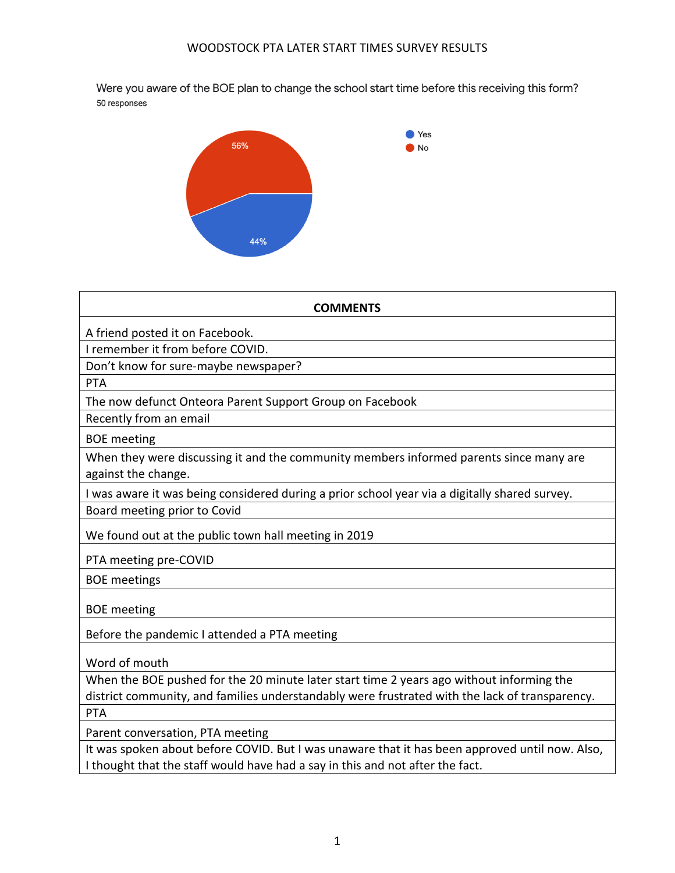Were you aware of the BOE plan to change the school start time before this receiving this form? 50 responses



| <b>COMMENTS</b>                                                                                |
|------------------------------------------------------------------------------------------------|
| A friend posted it on Facebook.                                                                |
| I remember it from before COVID.                                                               |
| Don't know for sure-maybe newspaper?                                                           |
| PTA                                                                                            |
| The now defunct Onteora Parent Support Group on Facebook                                       |
| Recently from an email                                                                         |
| <b>BOE</b> meeting                                                                             |
| When they were discussing it and the community members informed parents since many are         |
| against the change.                                                                            |
| I was aware it was being considered during a prior school year via a digitally shared survey.  |
| Board meeting prior to Covid                                                                   |
| We found out at the public town hall meeting in 2019                                           |
| PTA meeting pre-COVID                                                                          |
| <b>BOE</b> meetings                                                                            |
| <b>BOE</b> meeting                                                                             |
| Before the pandemic I attended a PTA meeting                                                   |
| Word of mouth                                                                                  |
| When the BOE pushed for the 20 minute later start time 2 years ago without informing the       |
| district community, and families understandably were frustrated with the lack of transparency. |
| PTA                                                                                            |
| Parent conversation, PTA meeting                                                               |
| It was spoken about before COVID. But I was unaware that it has been approved until now. Also, |

I thought that the staff would have had a say in this and not after the fact.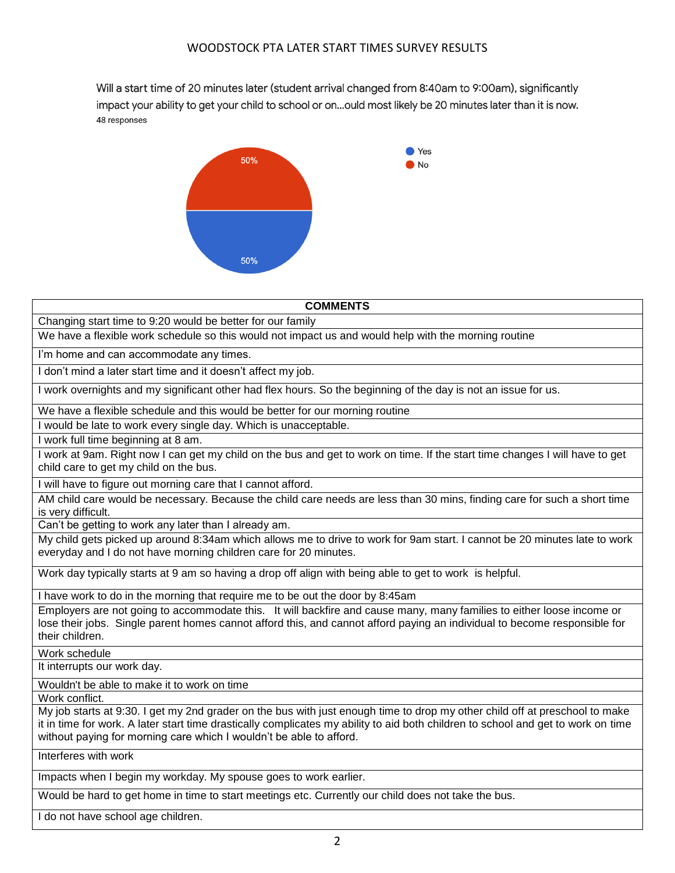Will a start time of 20 minutes later (student arrival changed from 8:40am to 9:00am), significantly impact your ability to get your child to school or on...ould most likely be 20 minutes later than it is now. 48 responses



| <b>COMMENTS</b>                                                                                                                                                                                                                                                                                                                         |
|-----------------------------------------------------------------------------------------------------------------------------------------------------------------------------------------------------------------------------------------------------------------------------------------------------------------------------------------|
| Changing start time to 9:20 would be better for our family                                                                                                                                                                                                                                                                              |
| We have a flexible work schedule so this would not impact us and would help with the morning routine                                                                                                                                                                                                                                    |
| I'm home and can accommodate any times.                                                                                                                                                                                                                                                                                                 |
| I don't mind a later start time and it doesn't affect my job.                                                                                                                                                                                                                                                                           |
| I work overnights and my significant other had flex hours. So the beginning of the day is not an issue for us.                                                                                                                                                                                                                          |
| We have a flexible schedule and this would be better for our morning routine                                                                                                                                                                                                                                                            |
| I would be late to work every single day. Which is unacceptable.                                                                                                                                                                                                                                                                        |
| I work full time beginning at 8 am.                                                                                                                                                                                                                                                                                                     |
| I work at 9am. Right now I can get my child on the bus and get to work on time. If the start time changes I will have to get<br>child care to get my child on the bus.                                                                                                                                                                  |
| I will have to figure out morning care that I cannot afford.                                                                                                                                                                                                                                                                            |
| AM child care would be necessary. Because the child care needs are less than 30 mins, finding care for such a short time<br>is very difficult.                                                                                                                                                                                          |
| Can't be getting to work any later than I already am.                                                                                                                                                                                                                                                                                   |
| My child gets picked up around 8:34am which allows me to drive to work for 9am start. I cannot be 20 minutes late to work<br>everyday and I do not have morning children care for 20 minutes.                                                                                                                                           |
| Work day typically starts at 9 am so having a drop off align with being able to get to work is helpful.                                                                                                                                                                                                                                 |
| I have work to do in the morning that require me to be out the door by 8:45am                                                                                                                                                                                                                                                           |
| Employers are not going to accommodate this. It will backfire and cause many, many families to either loose income or<br>lose their jobs. Single parent homes cannot afford this, and cannot afford paying an individual to become responsible for<br>their children.                                                                   |
| Work schedule                                                                                                                                                                                                                                                                                                                           |
| It interrupts our work day.                                                                                                                                                                                                                                                                                                             |
| Wouldn't be able to make it to work on time                                                                                                                                                                                                                                                                                             |
| Work conflict.                                                                                                                                                                                                                                                                                                                          |
| My job starts at 9:30. I get my 2nd grader on the bus with just enough time to drop my other child off at preschool to make<br>it in time for work. A later start time drastically complicates my ability to aid both children to school and get to work on time<br>without paying for morning care which I wouldn't be able to afford. |
| Interferes with work                                                                                                                                                                                                                                                                                                                    |
| Impacts when I begin my workday. My spouse goes to work earlier.                                                                                                                                                                                                                                                                        |

Would be hard to get home in time to start meetings etc. Currently our child does not take the bus.

I do not have school age children.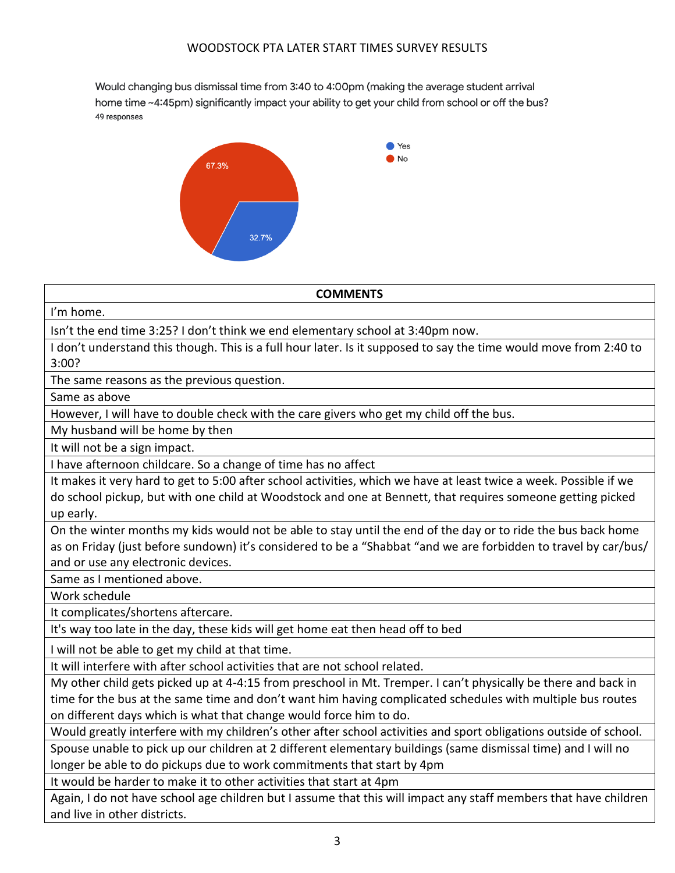Would changing bus dismissal time from 3:40 to 4:00pm (making the average student arrival home time ~4:45pm) significantly impact your ability to get your child from school or off the bus? 49 responses



**COMMENTS**

I'm home.

Isn't the end time 3:25? I don't think we end elementary school at 3:40pm now.

I don't understand this though. This is a full hour later. Is it supposed to say the time would move from 2:40 to 3:00?

The same reasons as the previous question.

Same as above

However, I will have to double check with the care givers who get my child off the bus.

My husband will be home by then

It will not be a sign impact.

I have afternoon childcare. So a change of time has no affect

It makes it very hard to get to 5:00 after school activities, which we have at least twice a week. Possible if we do school pickup, but with one child at Woodstock and one at Bennett, that requires someone getting picked up early.

On the winter months my kids would not be able to stay until the end of the day or to ride the bus back home as on Friday (just before sundown) it's considered to be a "Shabbat "and we are forbidden to travel by car/bus/ and or use any electronic devices.

Same as I mentioned above.

Work schedule

It complicates/shortens aftercare.

It's way too late in the day, these kids will get home eat then head off to bed

I will not be able to get my child at that time.

It will interfere with after school activities that are not school related.

My other child gets picked up at 4-4:15 from preschool in Mt. Tremper. I can't physically be there and back in time for the bus at the same time and don't want him having complicated schedules with multiple bus routes on different days which is what that change would force him to do.

Would greatly interfere with my children's other after school activities and sport obligations outside of school.

Spouse unable to pick up our children at 2 different elementary buildings (same dismissal time) and I will no longer be able to do pickups due to work commitments that start by 4pm

It would be harder to make it to other activities that start at 4pm

Again, I do not have school age children but I assume that this will impact any staff members that have children and live in other districts.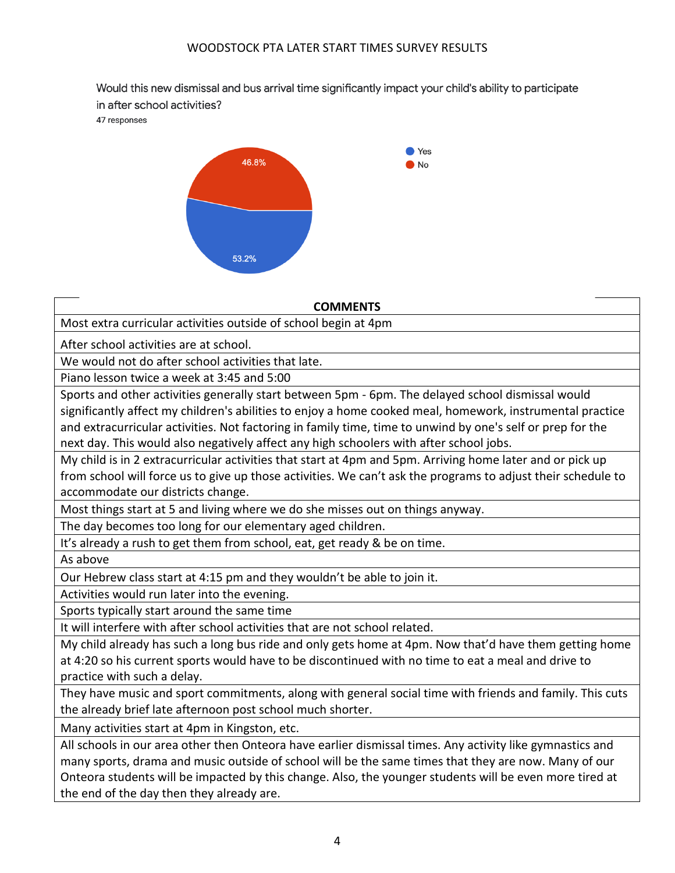Would this new dismissal and bus arrival time significantly impact your child's ability to participate in after school activities?

47 responses



## **COMMENTS**

Most extra curricular activities outside of school begin at 4pm

After school activities are at school.

We would not do after school activities that late.

Piano lesson twice a week at 3:45 and 5:00

Sports and other activities generally start between 5pm - 6pm. The delayed school dismissal would significantly affect my children's abilities to enjoy a home cooked meal, homework, instrumental practice and extracurricular activities. Not factoring in family time, time to unwind by one's self or prep for the next day. This would also negatively affect any high schoolers with after school jobs.

My child is in 2 extracurricular activities that start at 4pm and 5pm. Arriving home later and or pick up from school will force us to give up those activities. We can't ask the programs to adjust their schedule to accommodate our districts change.

Most things start at 5 and living where we do she misses out on things anyway.

The day becomes too long for our elementary aged children.

It's already a rush to get them from school, eat, get ready & be on time.

As above

Our Hebrew class start at 4:15 pm and they wouldn't be able to join it.

Activities would run later into the evening.

Sports typically start around the same time

It will interfere with after school activities that are not school related.

My child already has such a long bus ride and only gets home at 4pm. Now that'd have them getting home at 4:20 so his current sports would have to be discontinued with no time to eat a meal and drive to practice with such a delay.

They have music and sport commitments, along with general social time with friends and family. This cuts the already brief late afternoon post school much shorter.

Many activities start at 4pm in Kingston, etc.

All schools in our area other then Onteora have earlier dismissal times. Any activity like gymnastics and many sports, drama and music outside of school will be the same times that they are now. Many of our Onteora students will be impacted by this change. Also, the younger students will be even more tired at the end of the day then they already are.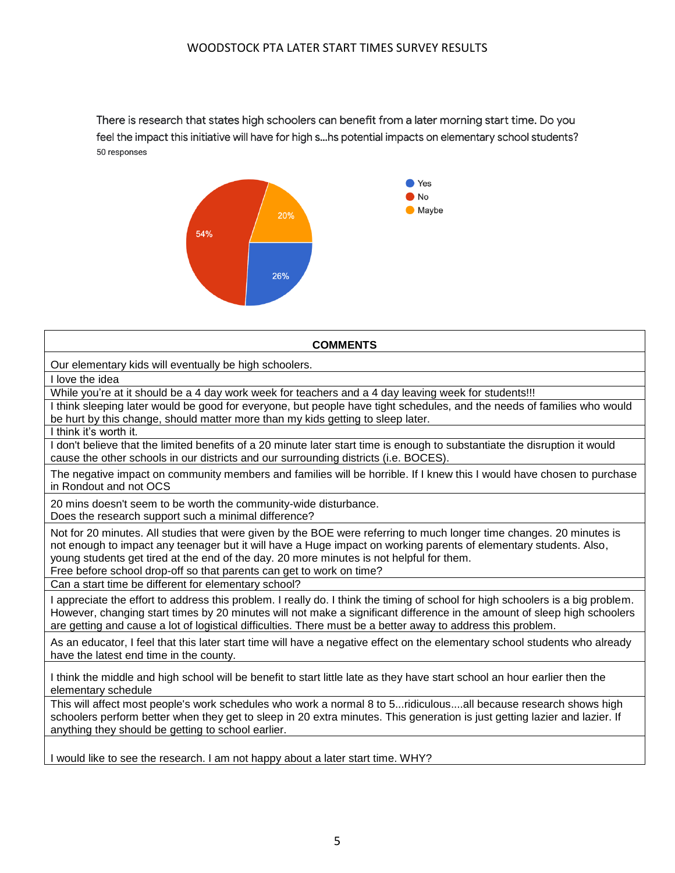## WOODSTOCK PTA LATER START TIMES SURVEY RESULTS

There is research that states high schoolers can benefit from a later morning start time. Do you feel the impact this initiative will have for high s...hs potential impacts on elementary school students? 50 responses



**COMMENTS** Our elementary kids will eventually be high schoolers. While you're at it should be a 4 day work week for teachers and a 4 day leaving week for students!!! I think sleeping later would be good for everyone, but people have tight schedules, and the needs of families who would be hurt by this change, should matter more than my kids getting to sleep later.

I think it's worth it.

I love the idea

I don't believe that the limited benefits of a 20 minute later start time is enough to substantiate the disruption it would cause the other schools in our districts and our surrounding districts (i.e. BOCES).

The negative impact on community members and families will be horrible. If I knew this I would have chosen to purchase in Rondout and not OCS

20 mins doesn't seem to be worth the community-wide disturbance. Does the research support such a minimal difference?

Not for 20 minutes. All studies that were given by the BOE were referring to much longer time changes. 20 minutes is not enough to impact any teenager but it will have a Huge impact on working parents of elementary students. Also, young students get tired at the end of the day. 20 more minutes is not helpful for them.

Free before school drop-off so that parents can get to work on time?

Can a start time be different for elementary school?

I appreciate the effort to address this problem. I really do. I think the timing of school for high schoolers is a big problem. However, changing start times by 20 minutes will not make a significant difference in the amount of sleep high schoolers are getting and cause a lot of logistical difficulties. There must be a better away to address this problem.

As an educator, I feel that this later start time will have a negative effect on the elementary school students who already have the latest end time in the county.

I think the middle and high school will be benefit to start little late as they have start school an hour earlier then the elementary schedule

This will affect most people's work schedules who work a normal 8 to 5...ridiculous....all because research shows high schoolers perform better when they get to sleep in 20 extra minutes. This generation is just getting lazier and lazier. If anything they should be getting to school earlier.

I would like to see the research. I am not happy about a later start time. WHY?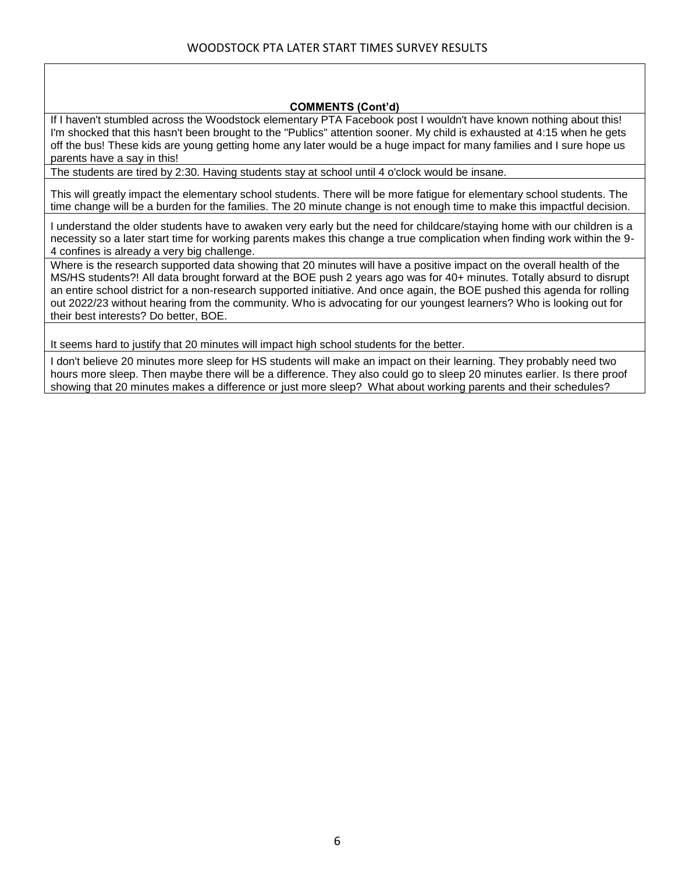## **COMMENTS (Cont'd)**

If I haven't stumbled across the Woodstock elementary PTA Facebook post I wouldn't have known nothing about this! I'm shocked that this hasn't been brought to the "Publics" attention sooner. My child is exhausted at 4:15 when he gets off the bus! These kids are young getting home any later would be a huge impact for many families and I sure hope us parents have a say in this!

The students are tired by 2:30. Having students stay at school until 4 o'clock would be insane.

This will greatly impact the elementary school students. There will be more fatigue for elementary school students. The time change will be a burden for the families. The 20 minute change is not enough time to make this impactful decision.

I understand the older students have to awaken very early but the need for childcare/staying home with our children is a necessity so a later start time for working parents makes this change a true complication when finding work within the 9- 4 confines is already a very big challenge.

Where is the research supported data showing that 20 minutes will have a positive impact on the overall health of the MS/HS students?! All data brought forward at the BOE push 2 years ago was for 40+ minutes. Totally absurd to disrupt an entire school district for a non-research supported initiative. And once again, the BOE pushed this agenda for rolling out 2022/23 without hearing from the community. Who is advocating for our youngest learners? Who is looking out for their best interests? Do better, BOE.

It seems hard to justify that 20 minutes will impact high school students for the better.

I don't believe 20 minutes more sleep for HS students will make an impact on their learning. They probably need two hours more sleep. Then maybe there will be a difference. They also could go to sleep 20 minutes earlier. Is there proof showing that 20 minutes makes a difference or just more sleep? What about working parents and their schedules?